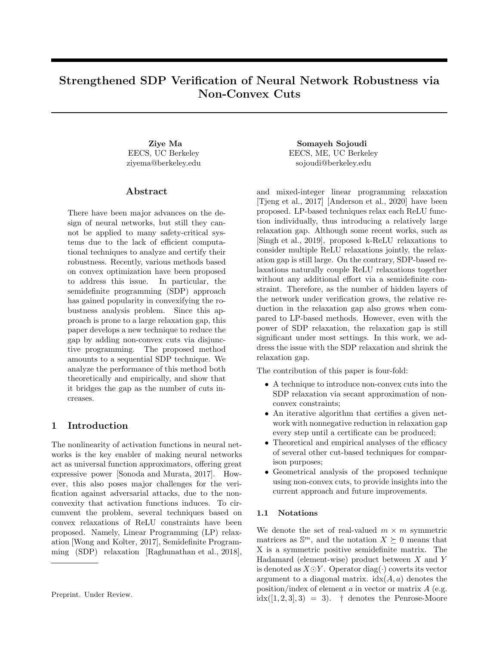# Strengthened SDP Verification of Neural Network Robustness via Non-Convex Cuts

EECS, UC Berkeley ziyema@berkeley.edu

## Abstract

There have been major advances on the design of neural networks, but still they cannot be applied to many safety-critical systems due to the lack of efficient computational techniques to analyze and certify their robustness. Recently, various methods based on convex optimization have been proposed to address this issue. In particular, the semidefinite programming (SDP) approach has gained popularity in convexifying the robustness analysis problem. Since this approach is prone to a large relaxation gap, this paper develops a new technique to reduce the gap by adding non-convex cuts via disjunctive programming. The proposed method amounts to a sequential SDP technique. We analyze the performance of this method both theoretically and empirically, and show that it bridges the gap as the number of cuts increases.

## 1 Introduction

The nonlinearity of activation functions in neural networks is the key enabler of making neural networks act as universal function approximators, offering great expressive power [Sonoda and Murata, 2017]. However, this also poses major challenges for the verification against adversarial attacks, due to the nonconvexity that activation functions induces. To circumvent the problem, several techniques based on convex relaxations of ReLU constraints have been proposed. Namely, Linear Programming (LP) relaxation [Wong and Kolter, 2017], Semidefinite Programming (SDP) relaxation [Raghunathan et al., 2018],

Ziye Ma Somayeh Sojoudi EECS, ME, UC Berkeley sojoudi@berkeley.edu

> and mixed-integer linear programming relaxation [Tjeng et al., 2017] [Anderson et al., 2020] have been proposed. LP-based techniques relax each ReLU function individually, thus introducing a relatively large relaxation gap. Although some recent works, such as [Singh et al., 2019], proposed k-ReLU relaxations to consider multiple ReLU relaxations jointly, the relaxation gap is still large. On the contrary, SDP-based relaxations naturally couple ReLU relaxations together without any additional effort via a semidefinite constraint. Therefore, as the number of hidden layers of the network under verification grows, the relative reduction in the relaxation gap also grows when compared to LP-based methods. However, even with the power of SDP relaxation, the relaxation gap is still significant under most settings. In this work, we address the issue with the SDP relaxation and shrink the relaxation gap.

The contribution of this paper is four-fold:

- A technique to introduce non-convex cuts into the SDP relaxation via secant approximation of nonconvex constraints;
- An iterative algorithm that certifies a given network with nonnegative reduction in relaxation gap every step until a certificate can be produced;
- Theoretical and empirical analyses of the efficacy of several other cut-based techniques for comparison purposes;
- Geometrical analysis of the proposed technique using non-convex cuts, to provide insights into the current approach and future improvements.

#### 1.1 Notations

We denote the set of real-valued  $m \times m$  symmetric matrices as  $\mathbb{S}^m$ , and the notation  $X \succeq 0$  means that X is a symmetric positive semidefinite matrix. The Hadamard (element-wise) product between  $X$  and  $Y$ is denoted as  $X \odot Y$ . Operator diag( $\cdot$ ) coverts its vector argument to a diagonal matrix.  $\text{idx}(A, a)$  denotes the position/index of element  $a$  in vector or matrix  $A$  (e.g.  $idx([1, 2, 3], 3) = 3$ . † denotes the Penrose-Moore

Preprint. Under Review.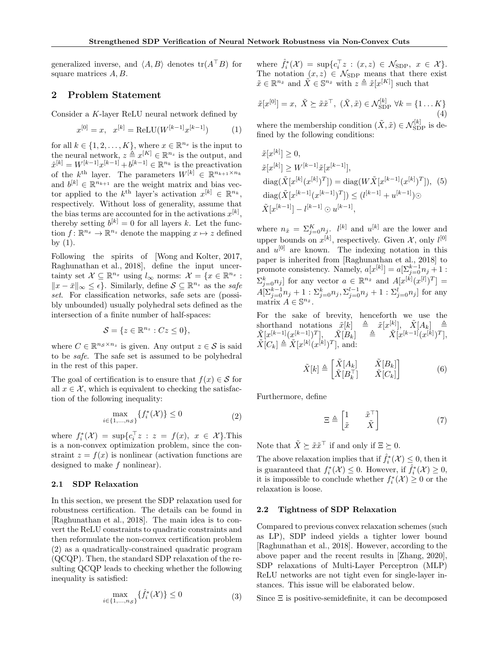generalized inverse, and  $\langle A, B \rangle$  denotes  $tr(A^{\top}B)$  for square matrices A, B.

## 2 Problem Statement

Consider a K-layer ReLU neural network defined by

$$
x^{[0]} = x, \quad x^{[k]} = \text{ReLU}(W^{[k-1]}x^{[k-1]}) \tag{1}
$$

for all  $k \in \{1, 2, ..., K\}$ , where  $x \in \mathbb{R}^{n_x}$  is the input to the neural network,  $z \triangleq x^{[K]} \in \mathbb{R}^{n_z}$  is the output, and  $\hat{x}^{[k]} = W^{[k-1]} x^{[k-1]} + b^{[k-1]} \in \mathbb{R}^{n_k}$  is the preactivation of the  $k^{\text{th}}$  layer. The parameters  $W^{[k]} \in \mathbb{R}^{n_{k+1} \times n_k}$ and  $b^{[k]} \in \mathbb{R}^{n_{k+1}}$  are the weight matrix and bias vector applied to the  $k^{\text{th}}$  layer's activation  $x^{[k]} \in \mathbb{R}^{n_k}$ , respectively. Without loss of generality, assume that the bias terms are accounted for in the activations  $x^{[k]}$ , thereby setting  $b^{[k]} = 0$  for all layers k. Let the function  $f: \mathbb{R}^{n_x} \to \mathbb{R}^{n_z}$  denote the mapping  $x \mapsto z$  defined by  $(1)$ .

Following the spirits of [Wong and Kolter, 2017, Raghunathan et al., 2018], define the input uncertainty set  $\mathcal{X} \subseteq \mathbb{R}^{n_x}$  using  $l_{\infty}$  norms:  $\mathcal{X} = \{x \in \mathbb{R}^{n_x}$  :  $||x - \bar{x}||_{\infty} \leq \epsilon$ . Similarly, define  $S \subseteq \mathbb{R}^{n_z}$  as the safe set. For classification networks, safe sets are (possibly unbounded) usually polyhedral sets defined as the intersection of a finite number of half-spaces:

$$
\mathcal{S} = \{ z \in \mathbb{R}^{n_z} : Cz \le 0 \},\
$$

where  $C \in \mathbb{R}^{n_{\mathcal{S}} \times n_z}$  is given. Any output  $z \in \mathcal{S}$  is said to be safe. The safe set is assumed to be polyhedral in the rest of this paper.

The goal of certification is to ensure that  $f(x) \in \mathcal{S}$  for all  $x \in \mathcal{X}$ , which is equivalent to checking the satisfaction of the following inequality:

$$
\max_{i \in \{1,\dots,n_{\mathcal{S}}\}} \{f_i^*(\mathcal{X})\} \le 0
$$
\n<sup>(2)</sup>

where  $f_i^*(\mathcal{X}) = \sup \{ c_i^\top z : z = f(x), x \in \mathcal{X} \}$ . This is a non-convex optimization problem, since the constraint  $z = f(x)$  is nonlinear (activation functions are designed to make f nonlinear).

#### 2.1 SDP Relaxation

In this section, we present the SDP relaxation used for robustness certification. The details can be found in [Raghunathan et al., 2018]. The main idea is to convert the ReLU constraints to quadratic constraints and then reformulate the non-convex certification problem (2) as a quadratically-constrained quadratic program (QCQP). Then, the standard SDP relaxation of the resulting QCQP leads to checking whether the following inequality is satisfied:

$$
\max_{i \in \{1,\dots,n_{\mathcal{S}}\}} \{\hat{f}_i^*(\mathcal{X})\} \le 0
$$
\n(3)

where  $\hat{f}_i^*(\mathcal{X}) = \sup\{c_i^{\top}z : (x,z) \in \mathcal{N}_{SDP}, x \in \mathcal{X}\}.$ The notation  $(x, z) \in \mathcal{N}_{SDP}$  means that there exist  $\tilde{x} \in \mathbb{R}^{n_{\tilde{x}}}$  and  $\tilde{X} \in \mathbb{S}^{n_{\tilde{x}}}$  with  $z \triangleq \tilde{x}[x^{[K]}]$  such that

$$
\tilde{x}[x^{[0]}] = x, \ \tilde{X} \succeq \tilde{x}\tilde{x}^{\top}, \ (\tilde{X}, \tilde{x}) \in \mathcal{N}_{\text{SDP}}^{[k]} \ \forall k = \{1 \dots K\}
$$
\n
$$
\tag{4}
$$

where the membership condition  $(\tilde{X}, \tilde{x}) \in \mathcal{N}_{\text{SDP}}^{[k]}$  is defined by the following conditions:

$$
\tilde{x}[x^{[k]}] \ge 0,
$$
  
\n
$$
\tilde{x}[x^{[k]}] \ge W^{[k-1]}\tilde{x}[x^{[k-1]}],
$$
  
\n
$$
\operatorname{diag}(\tilde{X}[x^{[k]}(x^{[k]})^T]) = \operatorname{diag}(W\tilde{X}[x^{[k-1]}(x^{[k]})^T]), (5)
$$
  
\n
$$
\operatorname{diag}(\tilde{X}[x^{[k-1]}(x^{[k-1]})^T]) \le (l^{[k-1]} + u^{[k-1]})\odot
$$
  
\n
$$
\tilde{X}[x^{[k-1]}] - l^{[k-1]} \odot u^{[k-1]},
$$

where  $n_{\tilde{x}} = \sum_{j=0}^{K} n_j$ .  $l^{[k]}$  and  $u^{[k]}$  are the lower and upper bounds on  $x^{[k]}$ , respectively. Given  $\mathcal{X}$ , only  $l^{[0]}$ and  $u^{[0]}$  are known. The indexing notation in this paper is inherited from [Raghunathan et al., 2018] to promote consistency. Namely,  $a[x^{[k]}] = a[\sum_{j=0}^{k-1} n_j + 1$ :  $\sum_{j=0}^k n_j$  for any vector  $a \in \mathbb{R}^{n_{\tilde{x}}}$  and  $A[x^{[k]}(x^{[l]})^T] =$  $A[\sum_{j=0}^{k-1}n_j+1:\sum_{j=0}^{k}n_j,\sum_{j=0}^{l-1}n_j+1:\sum_{j=0}^{l}n_j]$  for any matrix  $\mathbf{A} \in \mathbb{S}^{n_{\tilde{x}}}$ .

For the sake of brevity, henceforth we use the shorthand notations  $\tilde{x}[k] \triangleq \tilde{x}[x^{[k]}], \tilde{X}[A_k] \triangleq$  $\tilde X[x^{[k-1]}(x^{[k-1]})^T], \quad \tilde X[\overset{\circ}{B_k}] \quad \triangleq \quad \tilde X[x^{[k-1]}(x^{[k]})^T],$  $\tilde{X}[C_k] \triangleq \tilde{X}[x^{[k]}(x^{[k]})^T],$  and:

$$
\tilde{X}[k] \triangleq \begin{bmatrix} \tilde{X}[A_k] & \tilde{X}[B_k] \\ \tilde{X}[B_k^{\top}] & \tilde{X}[C_k] \end{bmatrix}
$$
 (6)

Furthermore, define

$$
\Xi \triangleq \begin{bmatrix} 1 & \tilde{x}^{\top} \\ \tilde{x} & \tilde{X} \end{bmatrix} \tag{7}
$$

Note that  $\tilde{X} \succeq \tilde{x} \tilde{x}^{\top}$  if and only if  $\Xi \succeq 0$ .

The above relaxation implies that if  $\hat{f}_i^*(\mathcal{X}) \leq 0$ , then it is guaranteed that  $f_i^*(\mathcal{X}) \leq 0$ . However, if  $\hat{f}_i^*(\mathcal{X}) \geq 0$ , it is impossible to conclude whether  $f_i^*(\mathcal{X}) \geq 0$  or the relaxation is loose.

### 2.2 Tightness of SDP Relaxation

Compared to previous convex relaxation schemes (such as LP), SDP indeed yields a tighter lower bound [Raghunathan et al., 2018]. However, according to the above paper and the recent results in [Zhang, 2020], SDP relaxations of Multi-Layer Perceptron (MLP) ReLU networks are not tight even for single-layer instances. This issue will be elaborated below.

Since Ξ is positive-semidefinite, it can be decomposed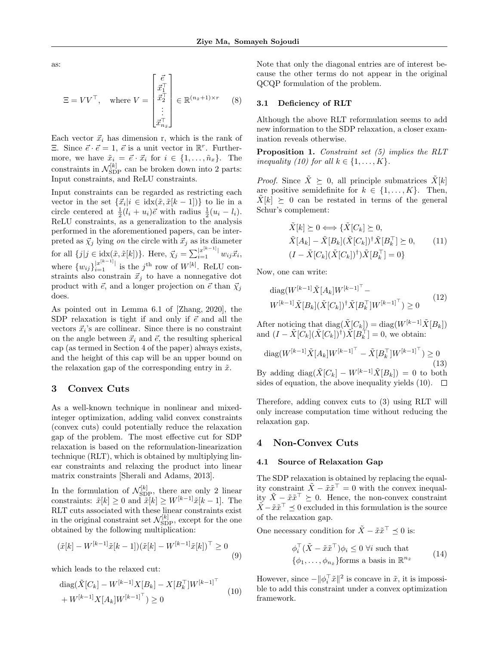as:

$$
\Xi = V V^{\top}, \quad \text{where } V = \begin{bmatrix} \vec{e} \\ \vec{x}_1^{\top} \\ \vdots \\ \vec{x}_{n_{\tilde{x}}}^{\top} \end{bmatrix} \in \mathbb{R}^{(n_{\tilde{x}}+1) \times r} \quad (8)
$$

Each vector  $\vec{x}_i$  has dimension r, which is the rank of  $\Xi$ . Since  $\vec{e} \cdot \vec{e} = 1$ ,  $\vec{e}$  is a unit vector in  $\mathbb{R}^r$ . Furthermore, we have  $\tilde{x}_i = \vec{e} \cdot \vec{x}_i$  for  $i \in \{1, \ldots, \tilde{n}_x\}$ . The constraints in  $\mathcal{N}_{\text{SDP}}^{[k]}$  can be broken down into 2 parts: Input constraints, and ReLU constraints.

Input constraints can be regarded as restricting each vector in the set  $\{\vec{x}_i | i \in \text{idx}(\tilde{x}, \tilde{x}[k-1])\}$  to lie in a circle centered at  $\frac{1}{2}(l_i + u_i)\vec{e}$  with radius  $\frac{1}{2}(u_i - l_i)$ . ReLU constraints, as a generalization to the analysis performed in the aforementioned papers, can be interpreted as  $\vec{\chi}_j$  lying on the circle with  $\vec{x}_j$  as its diameter for all  $\{j|j \in \text{idx}(\tilde{x}, \tilde{x}[k])\}$ . Here,  $\vec{\chi}_j = \sum_{i=1}^{|x^{[k-1]}|} w_{ij} \vec{x}_i$ , where  $\{w_{ij}\}_{i=1}^{|x^{[k-1]}|}$  is the j<sup>th</sup> row of  $W^{[k]}$ . ReLU constraints also constrain  $\vec{x}_j$  to have a nonnegative dot product with  $\vec{e}$ , and a longer projection on  $\vec{e}$  than  $\vec{\chi}_j$ does.

As pointed out in Lemma 6.1 of [Zhang, 2020], the SDP relaxation is tight if and only if  $\vec{e}$  and all the vectors  $\vec{x}_i$ 's are collinear. Since there is no constraint on the angle between  $\vec{x}_i$  and  $\vec{e}$ , the resulting spherical cap (as termed in Section 4 of the paper) always exists, and the height of this cap will be an upper bound on the relaxation gap of the corresponding entry in  $\tilde{x}$ .

## 3 Convex Cuts

As a well-known technique in nonlinear and mixedinteger optimization, adding valid convex constraints (convex cuts) could potentially reduce the relaxation gap of the problem. The most effective cut for SDP relaxation is based on the reformulation-linearization technique (RLT), which is obtained by multiplying linear constraints and relaxing the product into linear matrix constraints [Sherali and Adams, 2013].

In the formulation of  $\mathcal{N}_{SDP}^{[k]}$ , there are only 2 linear constraints:  $\tilde{x}[k] \geq 0$  and  $\tilde{x}[k] \geq W^{[k-1]}\tilde{x}[k-1]$ . The RLT cuts associated with these linear constraints exist in the original constraint set  $\mathcal{N}_{\mathrm{SDP}}^{[k]}$ , except for the one obtained by the following multiplication:

$$
(\tilde{x}[k] - W^{[k-1]}\tilde{x}[k-1])(\tilde{x}[k] - W^{[k-1]}\tilde{x}[k])^{\top} \ge 0
$$
\n(9)

which leads to the relaxed cut:

$$
\begin{aligned} \text{diag}(\tilde{X}[C_k] - W^{[k-1]}X[B_k] - X[B_k^\top]W^{[k-1]^\top} \\ + W^{[k-1]}X[A_k]W^{[k-1]^\top}) &\ge 0 \end{aligned} \tag{10}
$$

Note that only the diagonal entries are of interest because the other terms do not appear in the original QCQP formulation of the problem.

#### 3.1 Deficiency of RLT

Although the above RLT reformulation seems to add new information to the SDP relaxation, a closer examination reveals otherwise.

Proposition 1. Constraint set (5) implies the RLT inequality (10) for all  $k \in \{1, \ldots, K\}$ .

*Proof.* Since  $\tilde{X} \succeq 0$ , all principle submatrices  $\tilde{X}[k]$ are positive semidefinite for  $k \in \{1, \ldots, K\}$ . Then,  $X[k] \geq 0$  can be restated in terms of the general Schur's complement:

$$
\tilde{X}[k] \succeq 0 \Longleftrightarrow \{\tilde{X}[C_k] \succeq 0,
$$
\n
$$
\tilde{X}[A_k] - \tilde{X}[B_k](\tilde{X}[C_k])^\dagger \tilde{X}[B_k^\top] \succeq 0,
$$
\n
$$
(I - \tilde{X}[C_k](\tilde{X}[C_k])^\dagger) \tilde{X}[B_k^\top] = 0\}
$$
\n
$$
(11)
$$

Now, one can write:

diag(
$$
W^{[k-1]}\tilde{X}[A_k]W^{[k-1]^\top}
$$
 –  
\n $W^{[k-1]}\tilde{X}[B_k](\tilde{X}[C_k])^\dagger\tilde{X}[B_k^\top]W^{[k-1]^\top}) \ge 0$  (12)

After noticing that diag( $\tilde{X}[C_k]$ ) = diag( $W^{[k-1]}\tilde{X}[B_k]$ ) and  $(I - \tilde{X}[\tilde{C}_k](\tilde{X}[C_k])^{\dagger})\tilde{X}[B_k^{\dagger}] = 0$ , we obtain:

diag(
$$
W^{[k-1]}\tilde{X}[A_k]W^{[k-1]^\top} - \tilde{X}[B_k^\top]W^{[k-1]^\top}) \ge 0
$$
  
\nBy adding diag( $\tilde{X}[C_k] - W^{[k-1]}\tilde{X}[B_k]) = 0$  to both  
\nsides of equation, the above inequality yields (10).  $\square$ 

Therefore, adding convex cuts to (3) using RLT will only increase computation time without reducing the relaxation gap.

### 4 Non-Convex Cuts

#### 4.1 Source of Relaxation Gap

The SDP relaxation is obtained by replacing the equality constraint  $\tilde{X} - \tilde{x}\tilde{x}^{\top} = 0$  with the convex inequality  $\tilde{X} - \tilde{x}\tilde{x}^\top ≥ 0$ . Hence, the non-convex constraint  $\tilde{X} - \tilde{x}\tilde{x}^{\top} \preceq 0$  excluded in this formulation is the source of the relaxation gap.

One necessary condition for  $\tilde{X} - \tilde{x}\tilde{x}^{\top} \preceq 0$  is:

$$
\begin{aligned}\n\phi_i^\top (\tilde{X} - \tilde{x}\tilde{x}^\top) \phi_i &\le 0 \,\forall i \text{ such that} \\
\{\phi_1, \dots, \phi_{n_{\tilde{x}}}\} \text{forms a basis in } \mathbb{R}^{n_{\tilde{x}}} \n\end{aligned} \tag{14}
$$

However, since  $-\|\phi_i^{\top}\tilde{x}\|^2$  is concave in  $\tilde{x}$ , it is impossible to add this constraint under a convex optimization framework.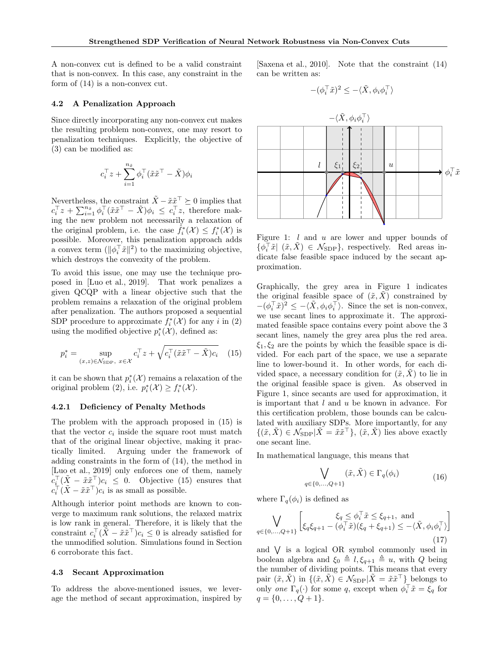A non-convex cut is defined to be a valid constraint that is non-convex. In this case, any constraint in the form of (14) is a non-convex cut.

## [Saxena et al., 2010]. Note that the constraint (14) can be written as:

$$
-(\phi_i^\top \tilde{x})^2 \le -\langle \tilde{X}, \phi_i \phi_i^\top \rangle
$$

### 4.2 A Penalization Approach

Since directly incorporating any non-convex cut makes the resulting problem non-convex, one may resort to penalization techniques. Explicitly, the objective of (3) can be modified as:

$$
c_i^{\top} z + \sum_{i=1}^{n_{\tilde{x}}} \phi_i^{\top} (\tilde{x} \tilde{x}^{\top} - \tilde{X}) \phi_i
$$

Nevertheless, the constraint  $\tilde{X} - \tilde{x}\tilde{x}^{\top} \succeq 0$  implies that  $c_i^{\top}z + \sum_{i=1}^{n_{\tilde{x}}} \phi_i^{\top}(\tilde{x}\tilde{x}^{\top} - \tilde{X})\phi_i \leq c_i^{\top}z$ , therefore making the new problem not necessarily a relaxation of the original problem, i.e. the case  $\tilde{f}_i^*(\mathcal{X}) \leq f_i^*(\mathcal{X})$  is possible. Moreover, this penalization approach adds a convex term  $(\|\phi_i^{\top} \tilde{x}\|^2)$  to the maximizing objective, which destroys the convexity of the problem.

To avoid this issue, one may use the technique proposed in [Luo et al., 2019]. That work penalizes a given QCQP with a linear objective such that the problem remains a relaxation of the original problem after penalization. The authors proposed a sequential SDP procedure to approximate  $f_i^*(\mathcal{X})$  for any i in (2) using the modified objective  $p_i^*(\mathcal{X})$ , defined as:

$$
p_i^* = \sup_{(x,z)\in\mathcal{N}_{\text{SDP}}, x\in\mathcal{X}} c_i^\top z + \sqrt{c_i^\top (\tilde{x}\tilde{x}^\top - \tilde{X})c_i} \quad (15)
$$

it can be shown that  $p_i^*(\mathcal{X})$  remains a relaxation of the original problem (2), i.e.  $p_i^*(\mathcal{X}) \ge f_i^*(\mathcal{X})$ .

#### 4.2.1 Deficiency of Penalty Methods

The problem with the approach proposed in (15) is that the vector  $c_i$  inside the square root must match that of the original linear objective, making it practically limited. Arguing under the framework of adding constraints in the form of (14), the method in [Luo et al., 2019] only enforces one of them, namely  $c_i^{\top} (\tilde{X} - \tilde{x} \tilde{x}^{\top}) c_i \leq 0$ . Objective (15) ensures that  $c_i^{\top} (\tilde{X} - \tilde{x} \tilde{x}^{\top}) c_i$  is as small as possible.

Although interior point methods are known to converge to maximum rank solutions, the relaxed matrix is low rank in general. Therefore, it is likely that the constraint  $c_i^{\top}(\tilde{X} - \tilde{x}\tilde{x}^{\top})c_i \leq 0$  is already satisfied for the unmodified solution. Simulations found in Section 6 corroborate this fact.

## 4.3 Secant Approximation

To address the above-mentioned issues, we leverage the method of secant approximation, inspired by



Figure 1:  $l$  and  $u$  are lower and upper bounds of  $\{\phi_i^{\dagger} \tilde{x} | \ (\tilde{x}, \tilde{X}) \in \mathcal{N}_{SDP} \},$  respectively. Red areas indicate false feasible space induced by the secant approximation.

Graphically, the grey area in Figure 1 indicates the original feasible space of  $(\tilde{x}, \tilde{X})$  constrained by  $-(\phi_i^{\top} \tilde{x})^2 \leq -\langle \tilde{X}, \phi_i \phi_i^{\top} \rangle$ . Since the set is non-convex, we use secant lines to approximate it. The approximated feasible space contains every point above the 3 secant lines, namely the grey area plus the red area.  $\xi_1, \xi_2$  are the points by which the feasible space is divided. For each part of the space, we use a separate line to lower-bound it. In other words, for each divided space, a necessary condition for  $(\tilde{x}, X)$  to lie in the original feasible space is given. As observed in Figure 1, since secants are used for approximation, it is important that l and u be known in advance. For this certification problem, those bounds can be calculated with auxiliary SDPs. More importantly, for any  $\{(\tilde{x}, \tilde{X}) \in \mathcal{N}_{SDP} | \tilde{X} = \tilde{x}\tilde{x}^{\top}\}, (\tilde{x}, \tilde{X})$  lies above exactly one secant line.

In mathematical language, this means that

$$
\bigvee_{q \in \{0, \dots, Q+1\}} (\tilde{x}, \tilde{X}) \in \Gamma_q(\phi_i)
$$
\n(16)

where  $\Gamma_q(\phi_i)$  is defined as

$$
\bigvee_{q \in \{0, ..., Q+1\}} \left[ \xi_q \xi_{q+1} - \left( \phi_i^{\top} \tilde{x} \right) \left( \xi_q + \xi_{q+1} \right) \le - \langle \tilde{X}, \phi_i \phi_i^{\top} \rangle \right] \tag{17}
$$

and W is a logical OR symbol commonly used in boolean algebra and  $\xi_0 \triangleq l, \xi_{q+1} \triangleq u$ , with Q being the number of dividing points. This means that every pair  $(\tilde{x}, \tilde{X})$  in  $\{(\tilde{x}, \tilde{X}) \in \mathcal{N}_{SDP} | \tilde{X} = \tilde{x}\tilde{x}^{\top}\}\$  belongs to only one  $\Gamma_q(\cdot)$  for some q, except when  $\phi_i^{\top} \tilde{x} = \xi_q$  for  $q = \{0, \ldots, Q + 1\}.$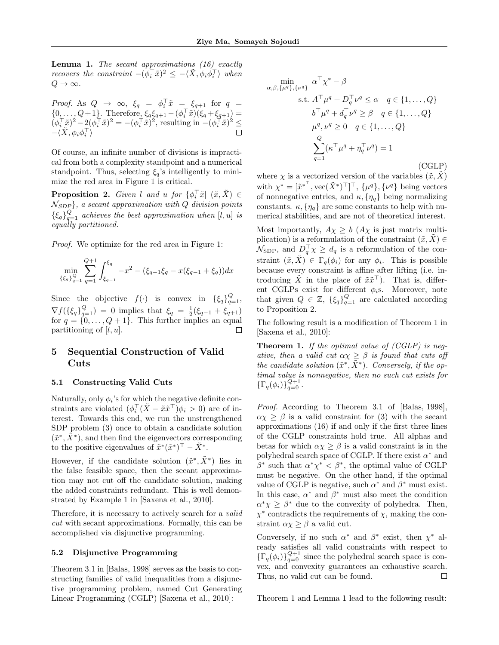**Lemma 1.** The secant approximations  $(16)$  exactly recovers the constraint  $-(\phi_i^{\top} \tilde{x})^2 \leq -\langle \tilde{X}, \phi_i \phi_i^{\top} \rangle$  when  $Q \rightarrow \infty$ .

*Proof.* As 
$$
Q \to \infty
$$
,  $\xi_q = \phi_i^\top \tilde{x} = \xi_{q+1}$  for  $q = \{0, \ldots, Q+1\}$ . Therefore,  $\xi_q \xi_{q+1} - (\phi_i^\top \tilde{x})(\xi_q + \xi_{q+1}) = (\phi_i^\top \tilde{x})^2 - 2(\phi_i^\top \tilde{x})^2 = -(\phi_i^\top \tilde{x})^2$ , resulting in  $-(\phi_i^\top \tilde{x})^2 \le -\langle \tilde{X}, \phi_i \phi_i^\top \rangle$ 

Of course, an infinite number of divisions is impractical from both a complexity standpoint and a numerical standpoint. Thus, selecting  $\xi_q$ 's intelligently to minimize the red area in Figure 1 is critical.

**Proposition 2.** Given l and u for  $\{\phi_i^{\top} \tilde{x} | (\tilde{x}, \tilde{X}) \in$  $\mathcal{N}_{SDP}$ , a secant approximation with Q division points  ${ \xi_q \}}_{q=1}^Q$  achieves the best approximation when [l, u] is equally partitioned.

Proof. We optimize for the red area in Figure 1:

$$
\min_{\{\xi_q\}_{q=1}^Q} \sum_{q=1}^{Q+1} \int_{\xi_{q-1}}^{\xi_q} -x^2 - (\xi_{q-1}\xi_q - x(\xi_{q-1} + \xi_q))dx
$$

Since the objective  $f(\cdot)$  is convex in  $\{\xi_q\}_{q=1}^Q$ ,  $\nabla f(\{\xi_q\}_{q=1}^Q) = 0$  implies that  $\xi_q = \frac{1}{2}(\xi_{q-1} + \xi_{q+1})$ for  $q = \{0, \ldots, Q + 1\}$ . This further implies an equal partitioning of  $[l, u]$ .  $\Box$ 

## 5 Sequential Construction of Valid Cuts

#### 5.1 Constructing Valid Cuts

Naturally, only  $\phi_i$ 's for which the negative definite constraints are violated  $(\phi_i^{\top} (\tilde{X} - \tilde{x} \tilde{x}^{\top}) \phi_i > 0)$  are of interest. Towards this end, we run the unstrengthened SDP problem (3) once to obtain a candidate solution  $(\tilde{x}^*, \tilde{X}^*)$ , and then find the eigenvectors corresponding to the positive eigenvalues of  $\tilde{x}^*(\tilde{x}^*)^\top - \tilde{X}^*$ .

However, if the candidate solution  $(\tilde{x}^*, \tilde{X}^*)$  lies in the false feasible space, then the secant approximation may not cut off the candidate solution, making the added constraints redundant. This is well demonstrated by Example 1 in [Saxena et al., 2010].

Therefore, it is necessary to actively search for a *valid* cut with secant approximations. Formally, this can be accomplished via disjunctive programming.

#### 5.2 Disjunctive Programming

Theorem 3.1 in [Balas, 1998] serves as the basis to constructing families of valid inequalities from a disjunctive programming problem, named Cut Generating Linear Programming (CGLP) [Saxena et al., 2010]:

$$
\min_{\alpha,\beta,\{\mu^q\},\{\nu^q\}} \alpha^{\top} \chi^* - \beta
$$
\n
$$
\text{s.t. } A^{\top} \mu^q + D_q^{\top} \nu^q \le \alpha \quad q \in \{1, \dots, Q\}
$$
\n
$$
b^{\top} \mu^q + d_q^{\top} \nu^q \ge \beta \quad q \in \{1, \dots, Q\}
$$
\n
$$
\mu^q, \nu^q \ge 0 \quad q \in \{1, \dots, Q\}
$$
\n
$$
\sum_{q=1}^Q (\kappa^{\top} \mu^q + \eta_q^{\top} \nu^q) = 1
$$
\n(CGLP)

where  $\chi$  is a vectorized version of the variables  $(\tilde{x}, \tilde{X})$ with  $\chi^* = [\tilde{x}^{*}^\top, \text{vec}(\tilde{X}^*)^\top]^\top, \{\mu^q\}, \{\nu^q\}$  being vectors of nonnegative entries, and  $\kappa$ ,  $\{\eta_q\}$  being normalizing constants.  $\kappa$ ,  $\{\eta_q\}$  are some constants to help with numerical stabilities, and are not of theoretical interest.

Most importantly,  $A\chi \geq b$  ( $A\chi$  is just matrix multiplication) is a reformulation of the constraint  $(\tilde{x}, \tilde{X}) \in$  $\mathcal{N}_{\text{SDP}}$ , and  $D_q^{\top} \chi \geq d_q$  is a reformulation of the constraint  $(\tilde{x}, \tilde{X}) \in \Gamma_q(\phi_i)$  for any  $\phi_i$ . This is possible because every constraint is affine after lifting (i.e. introducing  $\tilde{X}$  in the place of  $\tilde{x}\tilde{x}^{\top}$ ). That is, different CGLPs exist for different  $\phi_i$ s. Moreover, note that given  $Q \in \mathbb{Z}$ ,  $\{\xi_q\}_{q=1}^Q$  are calculated according to Proposition 2.

The following result is a modification of Theorem 1 in [Saxena et al., 2010]:

**Theorem 1.** If the optimal value of  $(CGLP)$  is negative, then a valid cut  $\alpha \chi \geq \beta$  is found that cuts off the candidate solution  $(\tilde{x}^*, \tilde{X}^*)$ . Conversely, if the optimal value is nonnegative, then no such cut exists for  $\{\Gamma_q(\phi_i)\}_{q=0}^{Q+1}$ .

Proof. According to Theorem 3.1 of [Balas, 1998],  $\alpha \chi \geq \beta$  is a valid constraint for (3) with the secant approximations (16) if and only if the first three lines of the CGLP constraints hold true. All alphas and betas for which  $\alpha \chi \geq \beta$  is a valid constraint is in the polyhedral search space of CGLP. If there exist  $\alpha^*$  and  $β^*$  such that  $α^*χ^* < β^*$ , the optimal value of CGLP must be negative. On the other hand, if the optimal value of CGLP is negative, such  $\alpha^*$  and  $\beta^*$  must exist. In this case,  $\alpha^*$  and  $\beta^*$  must also meet the condition  $\alpha^* \chi \geq \beta^*$  due to the convexity of polyhedra. Then,  $\chi^*$  contradicts the requirements of  $\chi$ , making the constraint  $\alpha \chi \geq \beta$  a valid cut.

Conversely, if no such  $\alpha^*$  and  $\beta^*$  exist, then  $\chi^*$  already satisfies all valid constraints with respect to  ${\{\Gamma_q(\phi_i)\}}_{q=0}^{Q+1}$  since the polyhedral search space is convex, and convexity guarantees an exhaustive search. Thus, no valid cut can be found.  $\Box$ 

Theorem 1 and Lemma 1 lead to the following result: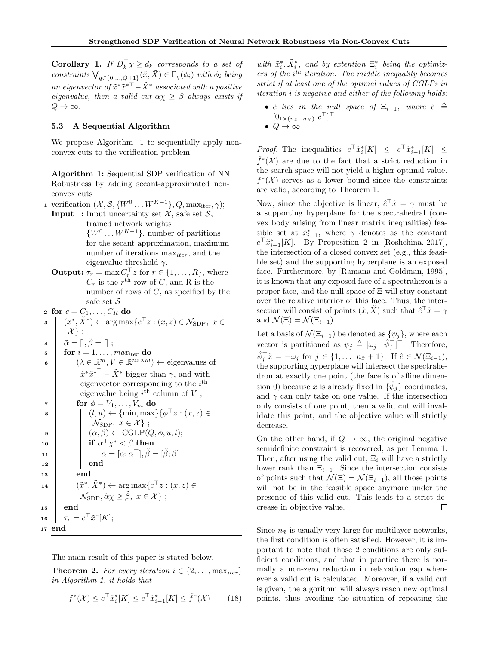**Corollary 1.** If  $D_k^{\top} \chi \geq d_k$  corresponds to a set of constraints  $\bigvee_{q \in \{0,\ldots,Q+1\}} (\tilde{x}, \tilde{X}) \in \Gamma_q(\phi_i)$  with  $\phi_i$  being an eigenvector of  $\tilde{x}^* \tilde{x}^{*\top} - \tilde{X}^*$  associated with a positive eigenvalue, then a valid cut  $\alpha \chi \geq \beta$  always exists if  $Q \rightarrow \infty$ .

#### 5.3 A Sequential Algorithm

We propose Algorithm 1 to sequentially apply nonconvex cuts to the verification problem.

Algorithm 1: Sequential SDP verification of NN Robustness by adding secant-approximated nonconvex cuts 1 verification  $(\mathcal{X}, \mathcal{S}, \{W^0 \dots W^{K-1}\}, Q, \max_{\text{iter}}, \gamma);$ **Input** : Input uncertainty set  $\mathcal{X}$ , safe set  $\mathcal{S}$ , trained network weights  $\{W^0 \dots W^{K-1}\}\$ , number of partitions for the secant approximation, maximum number of iterations  $\max_{iter}$ , and the eigenvalue threshold  $\gamma$ . **Output:**  $\tau_r = \max C_r^{\top} z$  for  $r \in \{1, ..., R\}$ , where  $C_r$  is the  $r<sup>th</sup>$  row of C, and R is the

number of rows of  $C$ , as specified by the safe set  $\mathcal S$ 

2 for  $c = C_1, \ldots, C_R$  do

 $\mathbf{s} \mid (\tilde{x}^*, \tilde{X}^*) \leftarrow \arg \max \{ c^\top z : (x, z) \in \mathcal{N}_{SDP}, \ x \in \mathcal{N}_{SDP} \}$  $\mathcal{X}$  ;  $4 \mid \tilde{\alpha} = \left| \right|, \tilde{\beta} = \left| \right|;$  $\mathbf{s}$  for  $i = 1, \ldots, \text{max}_{iter}$  do  $\mathfrak{g} \quad | \quad | \quad (\lambda \in \mathbb{R}^m, V \in \mathbb{R}^{n_{\tilde{x}} \times m}) \leftarrow$  eigenvalues of  $\tilde{x}^* \tilde{x}^{*}$ <sup>T</sup> –  $\tilde{X}^*$  bigger than  $\gamma$ , and with eigenvector corresponding to the  $i<sup>th</sup>$ eigenvalue being  $i^{\text{th}}$  column of V;  $\tau$  | for  $\phi = V_1, \ldots, V_m$  do  $\mathbf{s}$   $\vert \quad \vert \quad (l, u) \leftarrow \{\min, \max\} \{\phi^{\top} z : (x, z) \in$  $\mathcal{N}_{\text{SDP}}$ ,  $x \in \mathcal{X}$  ; 9  $( \alpha, \beta) \leftarrow \text{CGLP}(Q, \phi, u, l);$  $\begin{array}{c|c|c|c} \text{10} & \text{if} & \alpha^{\top}\chi^* < \beta \text{ then} \end{array}$ 11  $\vec{\alpha} = [\tilde{\alpha}; \alpha^{\top}], \tilde{\beta} = [\tilde{\beta}; \beta]$  $12$   $\parallel$   $\parallel$  end  $_{13}$  |  $\qquad$  end 14  $\left\vert \quad\right\vert \quad\left( \tilde{x}^*,\tilde{X}^* \right) \leftarrow \arg \max \{ c^\top z : (x,z) \in$  $\mathcal{N}_{\text{SDP}}, \tilde{\alpha}\chi \geq \tilde{\beta}, x \in \mathcal{X}$  ;  $15$  end  $16 \quad | \quad \tau_r = c^\top \tilde{x}^*[K];$ <sup>17</sup> end

The main result of this paper is stated below.

**Theorem 2.** For every iteration  $i \in \{2, \ldots, \max_{iter}\}\$ in Algorithm 1, it holds that

$$
f^*(\mathcal{X}) \le c^\top \tilde{x}_i^*[K] \le c^\top \tilde{x}_{i-1}^*[K] \le \hat{f}^*(\mathcal{X}) \qquad (18)
$$

with  $\tilde{x}_i^*, \tilde{X}_i^*$ , and by extention  $\Xi_i^*$  being the optimiz $ers of the i<sup>th</sup> iteration. The middle inequality becomes$ strict if at least one of the optimal values of CGLPs in iteration i is negative and either of the following holds:

- $\hat{c}$  lies in the null space of  $\Xi_{i-1}$ , where  $\hat{c} \triangleq$  $[0_{1\times(n_{\tilde{x}}-n_K)} \ c^{\top}]^{\top}$
- $Q \to \infty$

*Proof.* The inequalities  $c^{\top} \tilde{x}_i^* [K] \leq c^{\top} \tilde{x}_{i-1}^* [K] \leq$  $\hat{f}^*(\mathcal{X})$  are due to the fact that a strict reduction in the search space will not yield a higher optimal value.  $f^*(\mathcal{X})$  serves as a lower bound since the constraints are valid, according to Theorem 1.

Now, since the objective is linear,  $\hat{c}^\top \tilde{x} = \gamma$  must be a supporting hyperplane for the spectrahedral (convex body arising from linear matrix inequalities) feasible set at  $\tilde{x}_{i-1}^*$ , where  $\gamma$  denotes as the constant  $c^{\top} \tilde{x}_{i-1}^*[K]$ . By Proposition 2 in [Roshchina, 2017], the intersection of a closed convex set (e.g., this feasible set) and the supporting hyperplane is an exposed face. Furthermore, by [Ramana and Goldman, 1995], it is known that any exposed face of a spectraheron is a proper face, and the null space of Ξ will stay constant over the relative interior of this face. Thus, the intersection will consist of points  $(\tilde{x}, \tilde{X})$  such that  $\hat{c}^{\top} \tilde{x} = \gamma$ and  $\mathcal{N}(\Xi) = \mathcal{N}(\Xi_{i-1}).$ 

Let a basis of  $\mathcal{N}(\Xi_{i-1})$  be denoted as  $\{\psi_j\}$ , where each vector is partitioned as  $\psi_j \triangleq [\omega_j \quad \hat{\psi}_j^{\top}]^{\top}$ . Therefore,  $\hat{\psi}_j^\top \tilde{x} = -\omega_j \text{ for } j \in \{1, \ldots, n_{\tilde{x}} + 1\}.$  If  $\hat{c} \in \mathcal{N}(\Xi_{i-1}),$ the supporting hyperplane will intersect the spectrahedron at exactly one point (the face is of affine dimension 0) because  $\tilde{x}$  is already fixed in  $\{\hat{\psi}_j\}$  coordinates, and  $\gamma$  can only take on one value. If the intersection only consists of one point, then a valid cut will invalidate this point, and the objective value will strictly decrease.

On the other hand, if  $Q \to \infty$ , the original negative semidefinite constraint is recovered, as per Lemma 1. Then, after using the valid cut,  $\Xi_i$  will have a strictly lower rank than  $\Xi_{i-1}$ . Since the intersection consists of points such that  $\mathcal{N}(\Xi) = \mathcal{N}(\Xi_{i-1}),$  all those points will not be in the feasible space anymore under the presence of this valid cut. This leads to a strict decrease in objective value. П

Since  $n_{\tilde{x}}$  is usually very large for multilayer networks, the first condition is often satisfied. However, it is important to note that those 2 conditions are only sufficient conditions, and that in practice there is normally a non-zero reduction in relaxation gap whenever a valid cut is calculated. Moreover, if a valid cut is given, the algorithm will always reach new optimal points, thus avoiding the situation of repeating the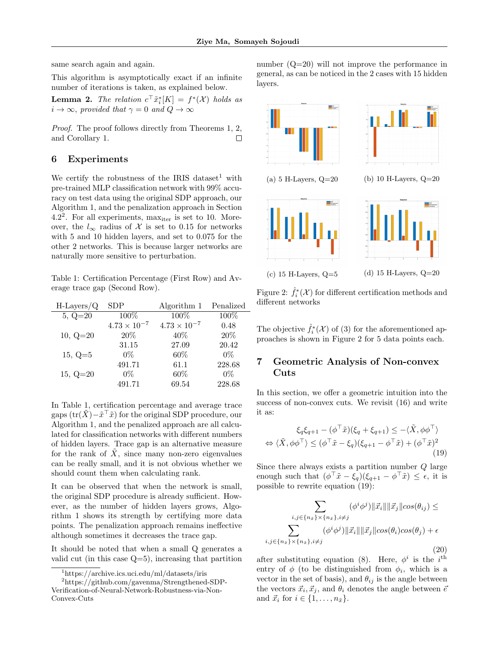same search again and again.

This algorithm is asymptotically exact if an infinite number of iterations is taken, as explained below.

**Lemma 2.** The relation  $c^{\top} \tilde{x}_i^* [K] = f^*(\mathcal{X})$  holds as  $i \to \infty$ , provided that  $\gamma = 0$  and  $Q \to \infty$ 

Proof. The proof follows directly from Theorems 1, 2, and Corollary 1.  $\Box$ 

### 6 Experiments

We certify the robustness of the IRIS dataset<sup>1</sup> with pre-trained MLP classification network with 99% accuracy on test data using the original SDP approach, our Algorithm 1, and the penalization approach in Section  $4.2<sup>2</sup>$ . For all experiments, max<sub>iter</sub> is set to 10. Moreover, the  $l_{\infty}$  radius of X is set to 0.15 for networks with 5 and 10 hidden layers, and set to 0.075 for the other 2 networks. This is because larger networks are naturally more sensitive to perturbation.

Table 1: Certification Percentage (First Row) and Average trace gap (Second Row).

| $H-Layers/Q$ | <b>SDP</b>            | Algorithm 1           | Penalized |
|--------------|-----------------------|-----------------------|-----------|
| $5, Q=20$    | 100%                  | 100%                  | 100%      |
|              | $4.73 \times 10^{-7}$ | $4.73 \times 10^{-7}$ | 0.48      |
| $10, Q=20$   | 20%                   | 40%                   | 20%       |
|              | 31.15                 | 27.09                 | 20.42     |
| $15, Q=5$    | $0\%$                 | 60%                   | $0\%$     |
|              | 491.71                | 61.1                  | 228.68    |
| $15, Q=20$   | $0\%$                 | 60%                   | $0\%$     |
|              | 491.71                | 69.54                 | 228.68    |

In Table 1, certification percentage and average trace gaps  $(\text{tr}(\tilde{X}) - \tilde{x}^\top \tilde{x})$  for the original SDP procedure, our Algorithm 1, and the penalized approach are all calculated for classification networks with different numbers of hidden layers. Trace gap is an alternative measure for the rank of  $\tilde{X}$ , since many non-zero eigenvalues can be really small, and it is not obvious whether we should count them when calculating rank.

It can be observed that when the network is small, the original SDP procedure is already sufficient. However, as the number of hidden layers grows, Algorithm 1 shows its strength by certifying more data points. The penalization approach remains ineffective although sometimes it decreases the trace gap.

It should be noted that when a small Q generates a valid cut (in this case Q=5), increasing that partition

number (Q=20) will not improve the performance in general, as can be noticed in the 2 cases with 15 hidden layers.



Figure 2:  $\hat{f}_i^*(\mathcal{X})$  for different certification methods and different networks

The objective  $\hat{f}_i^*(\mathcal{X})$  of (3) for the aforementioned approaches is shown in Figure 2 for 5 data points each.

## 7 Geometric Analysis of Non-convex Cuts

In this section, we offer a geometric intuition into the success of non-convex cuts. We revisit (16) and write it as:

$$
\xi_q \xi_{q+1} - (\phi^\top \tilde{x})(\xi_q + \xi_{q+1}) \le -\langle \tilde{X}, \phi \phi^\top \rangle
$$
  

$$
\Leftrightarrow \langle \tilde{X}, \phi \phi^\top \rangle \le (\phi^\top \tilde{x} - \xi_q)(\xi_{q+1} - \phi^\top \tilde{x}) + (\phi^\top \tilde{x})^2
$$
(19)

Since there always exists a partition number Q large enough such that  $(\phi^\top \tilde{x} - \xi_q)(\xi_{q+1} - \phi^\top \tilde{x}) \leq \epsilon$ , it is possible to rewrite equation (19):

$$
\sum_{i,j \in \{n_{\tilde{x}}\} \times \{n_{\tilde{x}}\}, i \neq j} (\phi^i \phi^j) \|\vec{x}_i\| \|\vec{x}_j\| cos(\theta_{ij}) \le
$$

$$
\sum_{i,j \in \{n_{\tilde{x}}\} \times \{n_{\tilde{x}}\}, i \neq j} (\phi^i \phi^j) \|\vec{x}_i\| \|\vec{x}_j\| cos(\theta_i) cos(\theta_j) + \epsilon
$$
(20)

after substituting equation (8). Here,  $\phi^i$  is the i<sup>th</sup> entry of  $\phi$  (to be distinguished from  $\phi_i$ , which is a vector in the set of basis), and  $\theta_{ij}$  is the angle between the vectors  $\vec{x}_i, \vec{x}_j$ , and  $\theta_i$  denotes the angle between  $\bar{e}$ and  $\vec{x}_i$  for  $i \in \{1, \ldots, n_{\tilde{x}}\}.$ 

<sup>1</sup>https://archive.ics.uci.edu/ml/datasets/iris

<sup>2</sup>https://github.com/gavenma/Strengthened-SDP-Verification-of-Neural-Network-Robustness-via-Non-Convex-Cuts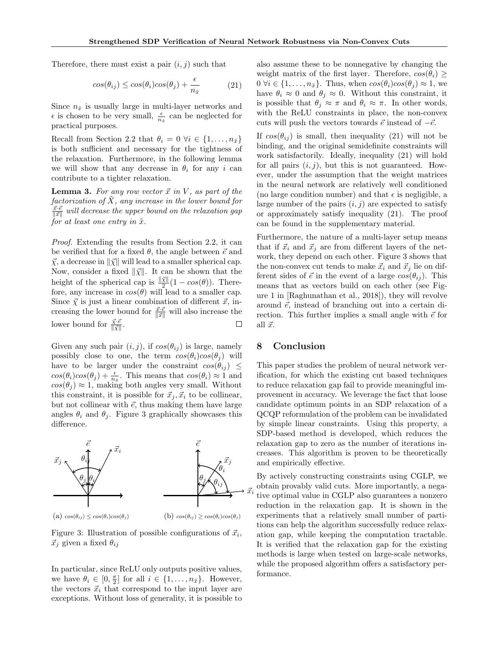Therefore, there must exist a pair  $(i, j)$  such that

$$
cos(\theta_{ij}) \leq cos(\theta_i)cos(\theta_j) + \frac{\epsilon}{n_{\tilde{x}}} \tag{21}
$$

Since  $n_{\tilde{x}}$  is usually large in multi-layer networks and  $\epsilon$  is chosen to be very small,  $\frac{\epsilon}{n_{\tilde{x}}}$  can be neglected for practical purposes.

Recall from Section 2.2 that  $\theta_i = 0 \ \forall i \in \{1, \ldots, n_{\tilde{x}}\}\$ is both sufficient and necessary for the tightness of the relaxation. Furthermore, in the following lemma we will show that any decrease in  $\theta_i$  for any i can contribute to a tighter relaxation.

**Lemma 3.** For any row vector  $\vec{x}$  in V, as part of the factorization of  $\hat{X}$ , any increase in the lower bound for  $\frac{\vec{x} \cdot \vec{e}}{\|\vec{x}\|}$  will decrease the upper bound on the relaxation gap for at least one entry in  $\tilde{x}$ .

Proof. Extending the results from Section 2.2, it can be verified that for a fixed  $\theta$ , the angle between  $\vec{e}$  and  $\vec{\chi}$ , a decrease in  $\|\vec{\chi}\|$  will lead to a smaller spherical cap. Now, consider a fixed  $\|\vec{\chi}\|$ . It can be shown that the height of the spherical cap is  $\frac{\|\vec{\chi}\|}{2}(1 - \cos(\theta))$ . Therefore, any increase in  $cos(\theta)$  will lead to a smaller cap. Since  $\vec{\chi}$  is just a linear combination of different  $\vec{x}$ , increasing the lower bound for  $\frac{\vec{x} \cdot \vec{e}}{\|\vec{x}\|}$  will also increase the lower bound for  $\frac{\vec{\chi} \cdot \vec{e}}{\|\vec{\chi}\|}$ .  $\Box$ 

Given any such pair  $(i, j)$ , if  $cos(\theta_{ij})$  is large, namely possibly close to one, the term  $cos(\theta_i)cos(\theta_i)$  will have to be larger under the constraint  $cos(\theta_{ij}) \leq$  $cos(\theta_i)cos(\theta_j) + \frac{\epsilon}{n_x}$ . This means that  $cos(\theta_i) \approx 1$  and  $cos(\theta_j) \approx 1$ , making both angles very small. Without this constraint, it is possible for  $\vec{x}_j, \vec{x}_i$  to be collinear, but not collinear with  $\vec{e}$ , thus making them have large angles  $\theta_i$  and  $\theta_j$ . Figure 3 graphically showcases this difference.



Figure 3: Illustration of possible configurations of  $\vec{x}_i$ ,  $\vec{x}_i$  given a fixed  $\theta_{ij}$ 

In particular, since ReLU only outputs positive values, we have  $\theta_i \in [0, \frac{\pi}{2}]$  for all  $i \in \{1, \ldots, n_{\tilde{x}}\}$ . However, the vectors  $\vec{x}_i$  that correspond to the input layer are exceptions. Without loss of generality, it is possible to also assume these to be nonnegative by changing the weight matrix of the first layer. Therefore,  $cos(\theta_i) \geq$  $0 \forall i \in \{1, \ldots, n_{\tilde{x}}\}.$  Thus, when  $\cos(\theta_i)\cos(\theta_j) \approx 1$ , we have  $\theta_i \approx 0$  and  $\theta_j \approx 0$ . Without this constraint, it is possible that  $\theta_j \approx \pi$  and  $\theta_i \approx \pi$ . In other words, with the ReLU constraints in place, the non-convex cuts will push the vectors towards  $\vec{e}$  instead of  $-\vec{e}$ .

If  $cos(\theta_{ij})$  is small, then inequality (21) will not be binding, and the original semidefinite constraints will work satisfactorily. Ideally, inequality (21) will hold for all pairs  $(i, j)$ , but this is not guaranteed. However, under the assumption that the weight matrices in the neural network are relatively well conditioned (no large condition number) and that  $\epsilon$  is negligible, a large number of the pairs  $(i, j)$  are expected to satisfy or approximately satisfy inequality (21). The proof can be found in the supplementary material.

Furthermore, the nature of a multi-layer setup means that if  $\vec{x}_i$  and  $\vec{x}_j$  are from different layers of the network, they depend on each other. Figure 3 shows that the non-convex cut tends to make  $\vec{x}_i$  and  $\vec{x}_j$  lie on different sides of  $\vec{e}$  in the event of a large  $\cos(\theta_{ij})$ . This means that as vectors build on each other (see Figure 1 in [Raghunathan et al., 2018]), they will revolve around  $\vec{e}$ , instead of branching out into a certain direction. This further implies a small angle with  $\vec{e}$  for all  $\vec{x}$ .

## 8 Conclusion

This paper studies the problem of neural network verification, for which the existing cut based techniques to reduce relaxation gap fail to provide meaningful improvement in accuracy. We leverage the fact that loose candidate optimum points in an SDP relaxation of a QCQP reformulation of the problem can be invalidated by simple linear constraints. Using this property, a SDP-based method is developed, which reduces the relaxation gap to zero as the number of iterations increases. This algorithm is proven to be theoretically and empirically effective.

By actively constructing constraints using CGLP, we obtain provably valid cuts. More importantly, a negative optimal value in CGLP also guarantees a nonzero reduction in the relaxation gap. It is shown in the experiments that a relatively small number of partitions can help the algorithm successfully reduce relaxation gap, while keeping the computation tractable. It is verified that the relaxation gap for the existing methods is large when tested on large-scale networks, while the proposed algorithm offers a satisfactory performance.